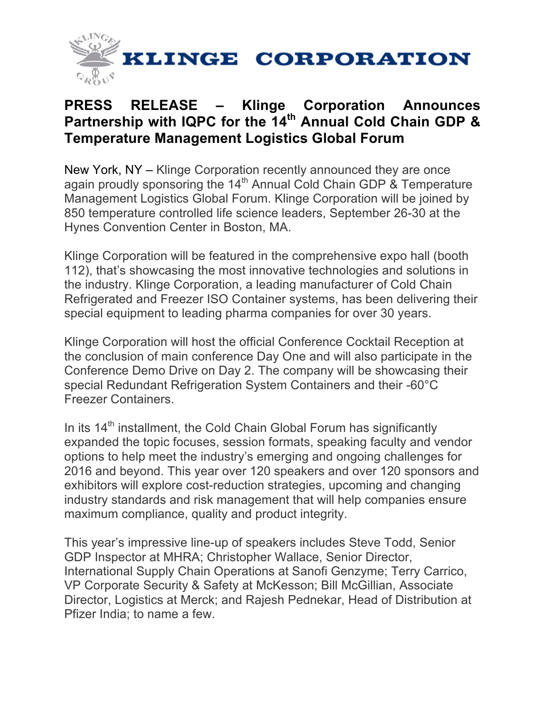

## **PRESS RELEASE – Klinge Corporation Announces Partnership with IQPC for the 14th Annual Cold Chain GDP & Temperature Management Logistics Global Forum**

New York, NY – Klinge Corporation recently announced they are once again proudly sponsoring the 14<sup>th</sup> Annual Cold Chain GDP & Temperature Management Logistics Global Forum. Klinge Corporation will be joined by 850 temperature controlled life science leaders, September 26-30 at the Hynes Convention Center in Boston, MA.

Klinge Corporation will be featured in the comprehensive expo hall (booth 112), that's showcasing the most innovative technologies and solutions in the industry. Klinge Corporation, a leading manufacturer of Cold Chain Refrigerated and Freezer ISO Container systems, has been delivering their special equipment to leading pharma companies for over 30 years.

Klinge Corporation will host the official Conference Cocktail Reception at the conclusion of main conference Day One and will also participate in the Conference Demo Drive on Day 2. The company will be showcasing their special Redundant Refrigeration System Containers and their -60°C Freezer Containers.

In its  $14<sup>th</sup>$  installment, the Cold Chain Global Forum has significantly expanded the topic focuses, session formats, speaking faculty and vendor options to help meet the industry's emerging and ongoing challenges for 2016 and beyond. This year over 120 speakers and over 120 sponsors and exhibitors will explore cost-reduction strategies, upcoming and changing industry standards and risk management that will help companies ensure maximum compliance, quality and product integrity.

This year's impressive line-up of speakers includes Steve Todd, Senior GDP Inspector at MHRA; Christopher Wallace, Senior Director, International Supply Chain Operations at Sanofi Genzyme; Terry Carrico, VP Corporate Security & Safety at McKesson; Bill McGillian, Associate Director, Logistics at Merck; and Rajesh Pednekar, Head of Distribution at Pfizer India; to name a few.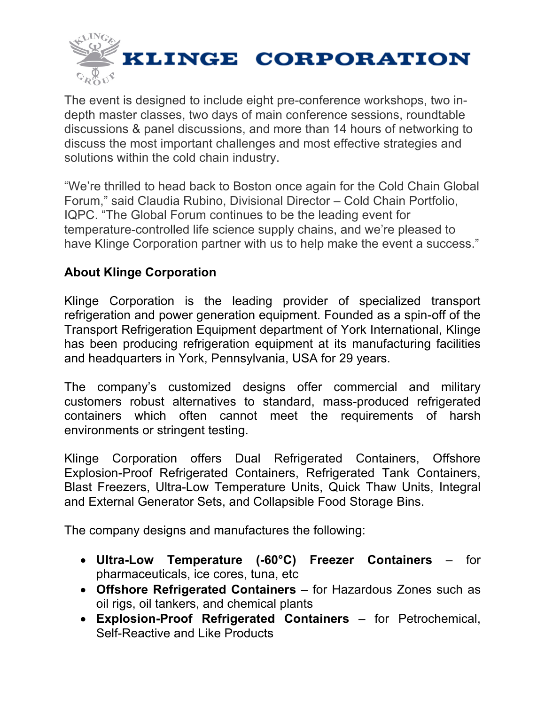

The event is designed to include eight pre-conference workshops, two indepth master classes, two days of main conference sessions, roundtable discussions & panel discussions, and more than 14 hours of networking to discuss the most important challenges and most effective strategies and solutions within the cold chain industry.

"We're thrilled to head back to Boston once again for the Cold Chain Global Forum," said Claudia Rubino, Divisional Director – Cold Chain Portfolio, IQPC. "The Global Forum continues to be the leading event for temperature-controlled life science supply chains, and we're pleased to have Klinge Corporation partner with us to help make the event a success."

## **About Klinge Corporation**

Klinge Corporation is the leading provider of specialized transport refrigeration and power generation equipment. Founded as a spin-off of the Transport Refrigeration Equipment department of York International, Klinge has been producing refrigeration equipment at its manufacturing facilities and headquarters in York, Pennsylvania, USA for 29 years.

The company's customized designs offer commercial and military customers robust alternatives to standard, mass-produced refrigerated containers which often cannot meet the requirements of harsh environments or stringent testing.

Klinge Corporation offers Dual Refrigerated Containers, Offshore Explosion-Proof Refrigerated Containers, Refrigerated Tank Containers, Blast Freezers, Ultra-Low Temperature Units, Quick Thaw Units, Integral and External Generator Sets, and Collapsible Food Storage Bins.

The company designs and manufactures the following:

- **Ultra-Low Temperature (-60°C) Freezer Containers** for pharmaceuticals, ice cores, tuna, etc
- **Offshore Refrigerated Containers** for Hazardous Zones such as oil rigs, oil tankers, and chemical plants
- **Explosion-Proof Refrigerated Containers** for Petrochemical, Self-Reactive and Like Products